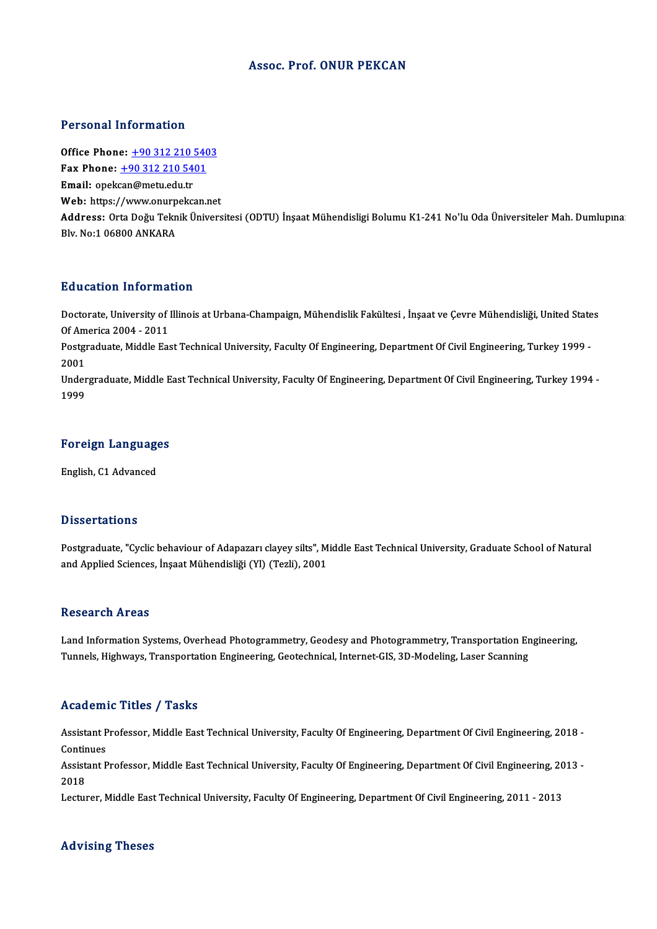# Assoc. Prof. ONUR PEKCAN

# Personal Information

**Personal Information<br>Office Phone: +90 312 210 5403<br>Fax Phone: +90 312 210 5401** Terestian information<br>Office Phone: <u>+90 312 210 540</u><br>Fax Phone: <u>+90 312 210 5401</u> Office Phone: <u>+90 312 210 !</u><br>Fax Phone: <u>+90 312 210 54</u><br>Email: opek[can@metu.edu.tr](tel:+90 312 210 5401) Fax Phone:  $\pm 903122105401$ <br>Email: opekcan@metu.edu.tr<br>Web: https://www.onurpekcan.net Email: opekcan@metu.edu.tr<br>Web: https://www.onurpekcan.net<br>Address: Orta Doğu Teknik Üniversitesi (ODTU) İnşaat Mühendisligi Bolumu K1-241 No'lu Oda Üniversiteler Mah. Dumlupına Web: https://www.onurp<br>Address: Orta Doğu Tekn<br>Blv. No:1 06800 ANKARA

# Education Information

**Education Information**<br>Doctorate, University of Illinois at Urbana-Champaign, Mühendislik Fakültesi , İnşaat ve Çevre Mühendisliği, United States<br>Of America 2004, 2011 Ducturent Information<br>Doctorate, University of 1<br>Doctoraduate Middle Fa Doctorate, University of Illinois at Urbana-Champaign, Mühendislik Fakültesi , İnşaat ve Çevre Mühendisliği, United State<br>Of America 2004 - 2011<br>Postgraduate, Middle East Technical University, Faculty Of Engineering, Depar Of America 2004 - 2011<br>Postgraduate, Middle East Technical University, Faculty Of Engineering, Department Of Civil Engineering, Turkey 1999 -<br>2001 Postgraduate, Middle East Technical University, Faculty Of Engineering, Department Of Civil Engineering, Turkey 1999 -<br>2001<br>Undergraduate, Middle East Technical University, Faculty Of Engineering, Department Of Civil Engin 2001<br>Under<br>1999

# 1<sup>999</sup><br>Foreign Languages <mark>Foreign Language</mark><br>English, C1 Advanced

English, C1 Advanced<br>Dissertations

Dissertations<br>Postgraduate, "Cyclic behaviour of Adapazarı clayey silts", Middle East Technical University, Graduate School of Natural<br>and Applied Sciences, İnsest Mühandisliği (Yl) (Tegli), 2001 2 15561 tatrome<br>Postgraduate, "Cyclic behaviour of Adapazarı clayey silts", M<br>and Applied Sciences, İnşaat Mühendisliği (Yl) (Tezli), 2001 and Applied Sciences, İnşaat Mühendisliği (Yl) (Tezli), 2001<br>Research Areas

Land Information Systems, Overhead Photogrammetry, Geodesy and Photogrammetry, Transportation Engineering, Tunnels, Highways, Transportation Engineering, Geotechnical, Internet-GIS, 3D-Modeling, Laser Scanning

# Academic Titles / Tasks

**Academic Titles / Tasks**<br>Assistant Professor, Middle East Technical University, Faculty Of Engineering, Department Of Civil Engineering, 2018 -<br>Continues Assistant P<br>Continues<br>Assistant P Assistant Professor, Middle East Technical University, Faculty Of Engineering, Department Of Civil Engineering, 2018 -<br>Continues<br>Assistant Professor, Middle East Technical University, Faculty Of Engineering, Department Of

Contir<br>Assist<br>2018<br>Lectur Assistant Professor, Middle East Technical University, Faculty Of Engineering, Department Of Civil Engineering, 20<br>2018<br>Lecturer, Middle East Technical University, Faculty Of Engineering, Department Of Civil Engineering, 2

Lecturer, Middle East Technical University, Faculty Of Engineering, Department Of Civil Engineering, 2011 - 2013<br>Advising Theses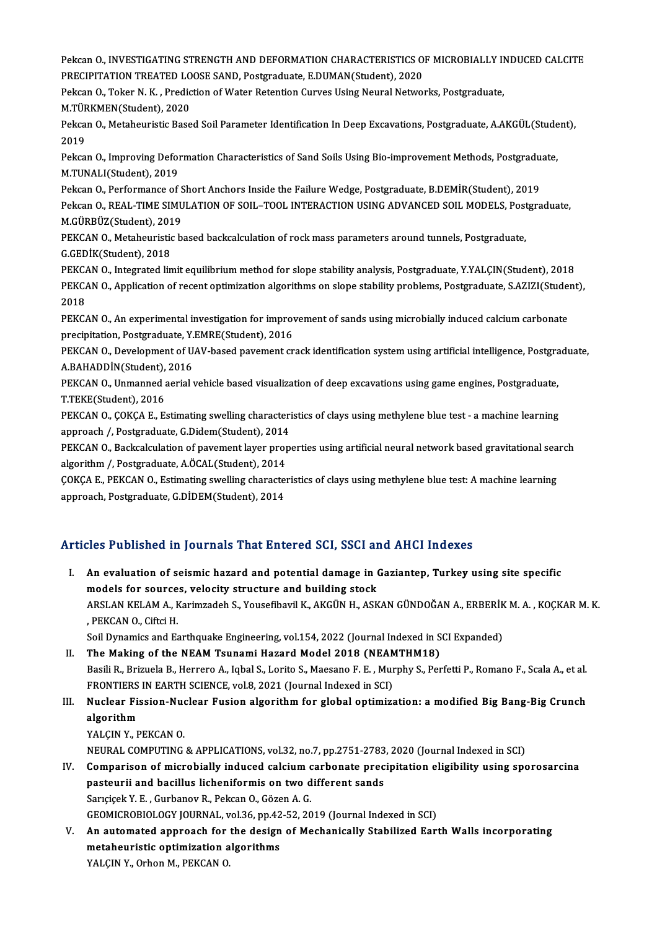Pekcan O., INVESTIGATING STRENGTH AND DEFORMATION CHARACTERISTICS OF MICROBIALLY INDUCED CALCITE<br>PRECIPITATION TREATED LOOSE SAND, Bostandwate, E DUMAN(Student), 2020 Pekcan O., INVESTIGATING STRENGTH AND DEFORMATION CHARACTERISTICS O<br>PRECIPITATION TREATED LOOSE SAND, Postgraduate, E.DUMAN(Student), 2020<br>Peksan O., Teken N. K., Prediction of Water Betantion Curves Heing Neural Netwo Pekcan O., INVESTIGATING STRENGTH AND DEFORMATION CHARACTERISTICS OF MICROBIALLY II<br>PRECIPITATION TREATED LOOSE SAND, Postgraduate, E.DUMAN(Student), 2020<br>Pekcan O., Toker N. K. , Prediction of Water Retention Curves Using PRECIPITATION TREATED LOOSE SAND, Postgraduate, E.DUMAN(Student), 2020<br>Pekcan O., Toker N. K. , Prediction of Water Retention Curves Using Neural Networks, Postgraduate,<br>M.TÜRKMEN(Student). 2020 Pekcan O., Toker N. K. , Prediction of Water Retention Curves Using Neural Networks, Postgraduate,<br>M.TÜRKMEN(Student), 2020<br>Pekcan O., Metaheuristic Based Soil Parameter Identification In Deep Excavations, Postgraduate, A. M.TÜF<br>Pekca<br>2019<br>Peksa Pekcan O., Metaheuristic Based Soil Parameter Identification In Deep Excavations, Postgraduate, A.AKGÜL(Stude<br>2019<br>Pekcan O., Improving Deformation Characteristics of Sand Soils Using Bio-improvement Methods, Postgraduate, 2019<br>Pekcan O., Improving Defol<br>M.TUNALI(Student), 2019<br>Peksan O. Performanse of Pekcan O., Improving Deformation Characteristics of Sand Soils Using Bio-improvement Methods, Postgradu<br>M.TUNALI(Student), 2019<br>Pekcan O., Performance of Short Anchors Inside the Failure Wedge, Postgraduate, B.DEMİR(Studen M.TUNALI(Student), 2019<br>Pekcan O., Performance of Short Anchors Inside the Failure Wedge, Postgraduate, B.DEMİR(Student), 2019<br>Pekcan O., REAL-TIME SIMULATION OF SOIL–TOOL INTERACTION USING ADVANCED SOIL MODELS, Postgradua Pekcan O., Performance of S<br>Pekcan O., REAL-TIME SIMU<br>M.GÜRBÜZ(Student), 2019<br>PEKCAN O. Metabouristis b Pekcan O., REAL-TIME SIMULATION OF SOIL–TOOL INTERACTION USING ADVANCED SOIL MODELS, Post<br>M.GÜRBÜZ(Student), 2019<br>PEKCAN O., Metaheuristic based backcalculation of rock mass parameters around tunnels, Postgraduate,<br>C.CEDİK M.GÜRBÜZ(Student), 2019<br>PEKCAN O., Metaheuristic based backcalculation of rock mass parameters around tunnels, Postgraduate,<br>G.GEDİK(Student), 2018 PEKCAN O., Metaheuristic based backcalculation of rock mass parameters around tunnels, Postgraduate,<br>G.GEDİK(Student), 2018<br>PEKCAN O., Integrated limit equilibrium method for slope stability analysis, Postgraduate, Y.YALÇI G.GEDİK(Student), 2018<br>PEKCAN O., Integrated limit equilibrium method for slope stability analysis, Postgraduate, Y.YALÇIN(Student),<br>PEKCAN O., Application of recent optimization algorithms on slope stability problems, Pos PEKCA<br>PEKCA<br>2018<br>PEKCA PEKCAN O., Application of recent optimization algorithms on slope stability problems, Postgraduate, S.AZIZI(Student), 2018<br>PEKCAN O., An experimental investigation for improvement of sands using microbially induced calcium PEKCAN O., An experimental investigation for improvement of sands using microbially induced calcium carbonate PEKCAN O., An experimental investigation for improvement of sands using microbially induced calcium carbonate<br>precipitation, Postgraduate, Y.EMRE(Student), 2016<br>PEKCAN O., Development of UAV-based pavement crack identifica precipitation, Postgraduate, Y.<br>PEKCAN O., Development of U.<br>A.BAHADDİN(Student), 2016<br>PEKCAN O. Unmannad serial 1 PEKCAN O., Development of UAV-based pavement crack identification system using artificial intelligence, Postgra<br>A.BAHADDİN(Student), 2016<br>PEKCAN O., Unmanned aerial vehicle based visualization of deep excavations using gam A.BAHADDİN(Student), 2016<br>PEKCAN O., Unmanned aerial vehicle based visualization of deep excavations using game engines, Postgraduate,<br>T.TEKE(Student), 2016 PEKCAN O., Unmanned aerial vehicle based visualization of deep excavations using game engines, Postgraduate,<br>T.TEKE(Student), 2016<br>PEKCAN O., ÇOKÇA E., Estimating swelling characteristics of clays using methylene blue test T.TEKE(Student), 2016<br>PEKCAN O., ÇOKÇA E., Estimating swelling characteri<br>approach /, Postgraduate, G.Didem(Student), 2014<br>PEKCAN O. Posksalsulation of navoment laver prop PEKCAN O., ÇOKÇA E., Estimating swelling characteristics of clays using methylene blue test - a machine learning<br>approach /, Postgraduate, G.Didem(Student), 2014<br>PEKCAN O., Backcalculation of pavement layer properties usin approach /, Postgraduate, G.Didem(Student), 2014<br>PEKCAN O., Backcalculation of pavement layer prop<br>algorithm /, Postgraduate, A.ÖCAL(Student), 2014 PEKCAN O., Backcalculation of pavement layer properties using artificial neural network based gravitational search algorithm /, Postgraduate, A.ÖCAL(Student), 2014<br>COKCA E., PEKCAN O., Estimating swelling characteristics o

COKCA E., PEKCAN O., Estimating swelling characteristics of clays using methylene blue test: A machine learning

# Articles Published in Journals That Entered SCI, SSCI and AHCI Indexes

- rticles Published in Journals That Entered SCI, SSCI and AHCI Indexes<br>I. An evaluation of seismic hazard and potential damage in Gaziantep, Turkey using site specific<br>models for seurese yelogity structure and building stee Models for sources, velocity structure and potential damage in (models for sources, velocity structure and building stock An evaluation of seismic hazard and potential damage in Gaziantep, Turkey using site specific<br>models for sources, velocity structure and building stock<br>ARSLAN KELAM A., Karimzadeh S., Yousefibavil K., AKGÜN H., ASKAN GÜNDO models for source<br>ARSLAN KELAM A., k<br>, PEKCAN O., Ciftci H.<br>Soil Dynamics and Es ARSLAN KELAM A., Karimzadeh S., Yousefibavil K., AKGÜN H., ASKAN GÜNDOĞAN A., ERBERİK<br>, PEKCAN O., Ciftci H.<br>Soil Dynamics and Earthquake Engineering, vol.154, 2022 (Journal Indexed in SCI Expanded)<br>The Making of the NEAM I . PEKCAN O., Ciftci H.<br>Soil Dynamics and Earthquake Engineering, vol.154, 2022 (Journal Indexed in SCI Expanded)<br>II. The Making of the NEAM Tsunami Hazard Model 2018 (NEAMTHM18)
- Soil Dynamics and Earthquake Engineering, vol.154, 2022 (Journal Indexed in SCI Expanded)<br>The Making of the NEAM Tsunami Hazard Model 2018 (NEAMTHM18)<br>Basili R., Brizuela B., Herrero A., Iqbal S., Lorito S., Maesano F. E. The Making of the NEAM Tsunami Hazard Model 2018 (NEAM<br>Basili R., Brizuela B., Herrero A., Iqbal S., Lorito S., Maesano F. E. , Mur<br>FRONTIERS IN EARTH SCIENCE, vol.8, 2021 (Journal Indexed in SCI)<br>Nuglear Eissian Nuglear E Basili R., Brizuela B., Herrero A., Iqbal S., Lorito S., Maesano F. E. , Murphy S., Perfetti P., Romano F., Scala A., et al.<br>FRONTIERS IN EARTH SCIENCE, vol.8, 2021 (Journal Indexed in SCI)<br>III. Nuclear Fission-Nuclear Fus
- FRONTIERS<br>Nuclear Fi:<br>algorithm<br>YALCIN V. B **Nuclear Fission-Nuc<br>algorithm<br>YALÇIN Y., PEKCAN O.<br>NEUPAL COMPUTING** algorithm<br>YALÇIN Y., PEKCAN O.<br>NEURAL COMPUTING & APPLICATIONS, vol.32, no.7, pp.2751-2783, 2020 (Journal Indexed in SCI)<br>Comparison of microbially induced colsium corbonate procipitation eligibility using ans
	-

- YALÇIN Y., PEKCAN O.<br>NEURAL COMPUTING & APPLICATIONS, vol.32, no.7, pp.2751-2783, 2020 (Journal Indexed in SCI)<br>IV. Comparison of microbially induced calcium carbonate precipitation eligibility using sporosarcina<br>necteurii NEURAL COMPUTING & APPLICATIONS, vol.32, no.7, pp.2751-2783<br>Comparison of microbially induced calcium carbonate prec<br>pasteurii and bacillus licheniformis on two different sands<br>Sangigel: Y. E. Curbanov B. Belgan Q. Gägen A Comparison of microbially induced calcium c<br>pasteurii and bacillus licheniformis on two d<br>Sarıçiçek Y. E. , Gurbanov R., Pekcan O., Gözen A. G.<br>CEOMICROPIOLOCY JOUPMAL val 26 np.42 52 20 pasteurii and bacillus licheniformis on two different sands<br>Sarıçiçek Y. E. , Gurbanov R., Pekcan O., Gözen A. G.<br>GEOMICROBIOLOGY JOURNAL, vol.36, pp.42-52, 2019 (Journal Indexed in SCI)<br>An automated annuageb for the desig Sarıçiçek Y. E. , Gurbanov R., Pekcan O., Gözen A. G.<br>GEOMICROBIOLOGY JOURNAL, vol.36, pp.42-52, 2019 (Journal Indexed in SCI)<br>V. An automated approach for the design of Mechanically Stabilized Earth Walls incorporatin
- GEOMICROBIOLOGY JOURNAL, vol.36, pp.42<br>An automated approach for the design<br>metaheuristic optimization algorithms<br>VALCIN V. Orbor M. BEVCAN O An automated approach for<br>metaheuristic optimization a<br>YALÇIN Y., Orhon M., PEKCAN O.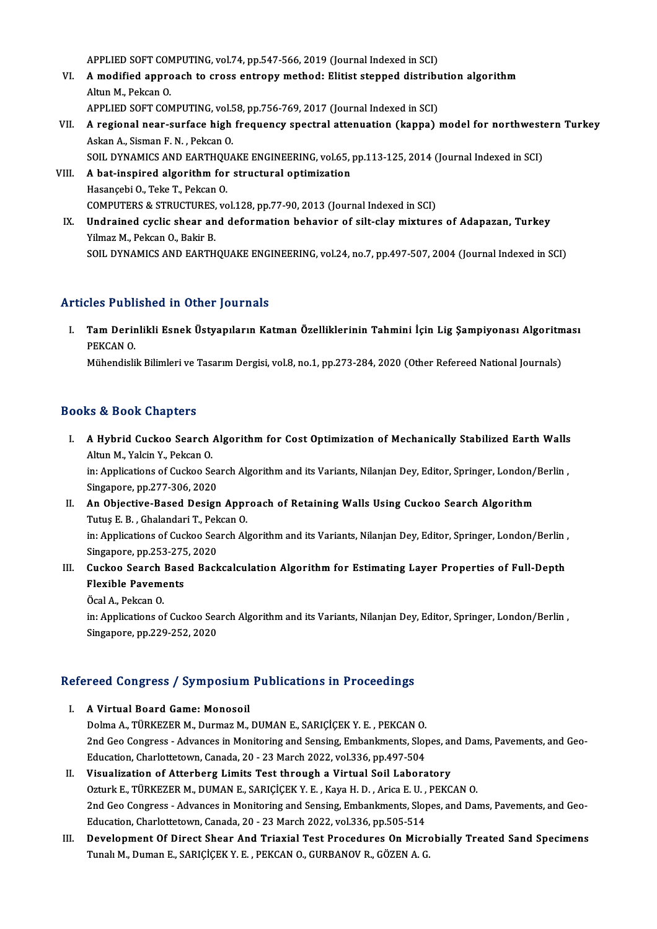APPLIED SOFT COMPUTING, vol.74, pp.547-566, 2019 (Journal Indexed in SCI)<br>A modified approach to spees entrony mathod: Elitiet stepped distribu

- APPLIED SOFT COMPUTING, vol.74, pp.547-566, 2019 (Journal Indexed in SCI)<br>VI. A modified approach to cross entropy method: Elitist stepped distribution algorithm APPLIED SOFT COM<br>**A modified approximation**<br>APPLIED SOFT COM A modified approach to cross entropy method: Elitist stepped distribution<br>Altun M., Pekcan O.<br>APPLIED SOFT COMPUTING, vol.58, pp.756-769, 2017 (Journal Indexed in SCI)<br>A regional near surface high frequency spectral attenu
- Altun M., Pekcan O.<br>APPLIED SOFT COMPUTING, vol.58, pp.756-769, 2017 (Journal Indexed in SCI)<br>VII. A regional near-surface high frequency spectral attenuation (kappa) model for northwestern Turkey<br>Askan A. Sisman E. N. APPLIED SOFT COMPUTING, vol.5<br>A regional near-surface high<br>Askan A., Sisman F. N. , Pekcan O.<br>SOU. DYNAMICS AND FAPTHOUA A regional near-surface high frequency spectral attenuation (kappa) model for northwest<br>Askan A., Sisman F. N. , Pekcan O.<br>SOIL DYNAMICS AND EARTHQUAKE ENGINEERING, vol.65, pp.113-125, 2014 (Journal Indexed in SCI)<br>A hat i SOIL DYNAMICS AND EARTHQUAKE ENGINEERING, vol.65, pp.113-125, 2014 (Journal Indexed in SCI)
- Askan A., Sisman F. N. , Pekcan O.<br>SOIL DYNAMICS AND EARTHQUAKE ENGINEERING, vol.65,<br>VIII. A bat-inspired algorithm for structural optimization<br>Hasancebi O., Teke T., Pekcan O. COMPUTERS & STRUCTURES, vol.128, pp.77-90, 2013 (Journal Indexed in SCI) Hasançebi O., Teke T., Pekcan O.<br>COMPUTERS & STRUCTURES, vol.128, pp.77-90, 2013 (Journal Indexed in SCI)<br>IX. Undrained cyclic shear and deformation behavior of silt-clay mixtures of Adapazan, Turkey<br>Vilmes M. Peksan O. Ba
- COMPUTERS & STRUCTURES,<br>Undrained cyclic shear an<br>Yilmaz M., Pekcan O., Bakir B.<br>SOU. DYNAMICS AND FARTH Undrained cyclic shear and deformation behavior of silt-clay mixtures of Adapazan, Turkey<br>Yilmaz M., Pekcan O., Bakir B.<br>SOIL DYNAMICS AND EARTHQUAKE ENGINEERING, vol.24, no.7, pp.497-507, 2004 (Journal Indexed in SCI) SOIL DYNAMICS AND EARTHQUAKE ENGINEERING, vol.24, no.7, pp.497-507, 2004 (Journal Indexed in SCI)<br>Articles Published in Other Journals

rticles Published in Other Journals<br>I. Tam Derinlikli Esnek Üstyapıların Katman Özelliklerinin Tahmini İçin Lig Şampiyonası Algoritması<br>REKCAN O Tam Derir<br>Tam Derir<br>PEKCAN 0. Tam Derinlikli Esnek Üstyapıların Katman Özelliklerinin Tahmini İçin Lig Şampiyonası Algoritm<br>PEKCAN 0.<br>Mühendislik Bilimleri ve Tasarım Dergisi, vol.8, no.1, pp.273-284, 2020 (Other Refereed National Journals)

Mühendislik Bilimleri ve Tasarım Dergisi, vol.8, no.1, pp.273-284, 2020 (Other Refereed National Journals)<br>Books & Book Chapters

ooks & Book Chapters<br>I. A Hybrid Cuckoo Search Algorithm for Cost Optimization of Mechanically Stabilized Earth Walls<br>Altun M. Yokin Y. Peksen O Altun M., Yalcin Y., Pekcan O.<br>Altun M., Yalcin Y., Pekcan O.<br>in: Annligations of Guelses Se A Hybrid Cuckoo Search Algorithm for Cost Optimization of Mechanically Stabilized Earth Walls<br>Altun M., Yalcin Y., Pekcan O.<br>in: Applications of Cuckoo Search Algorithm and its Variants, Nilanjan Dey, Editor, Springer, Lon

Altun M., Yalcin Y., Pekcan O.<br>in: Applications of Cuckoo Search Algorithm and its Variants, Nilanjan Dey, Editor, Springer, London/Berlin ,<br>Singapore, pp.277-306, 2020 in: Applications of Cuckoo Search Algorithm and its Variants, Nilanjan Dey, Editor, Springer, London/<br>Singapore, pp.277-306, 2020<br>II. An Objective-Based Design Approach of Retaining Walls Using Cuckoo Search Algorithm<br>Tutu

- Singapore, pp.277-306, 2020<br>An Objective-Based Design Appr<br>Tutuş E. B. , Ghalandari T., Pekcan O.<br>in: Applications of Guskas Searsh Al An Objective-Based Design Approach of Retaining Walls Using Cuckoo Search Algorithm<br>Tutuş E. B. , Ghalandari T., Pekcan O.<br>in: Applications of Cuckoo Search Algorithm and its Variants, Nilanjan Dey, Editor, Springer, Londo Tutuş E. B. , Ghalandari T., Pek<br>in: Applications of Cuckoo Sea<br>Singapore, pp.253-275, 2020<br>Guekoo Searsh Bosed Bosh in: Applications of Cuckoo Search Algorithm and its Variants, Nilanjan Dey, Editor, Springer, London/Berlin<br>Singapore, pp.253-275, 2020<br>III. Cuckoo Search Based Backcalculation Algorithm for Estimating Layer Properties of
- Singapore, pp.253-275<br>Cuckoo Search Base<br>Flexible Pavements Cuckoo Search<br>Flexible Paveme<br>Öcal A., Pekcan O.<br>in: Anplications of Flexible Pavements<br>Öcal A., Pekcan O.<br>in: Applications of Cuckoo Search Algorithm and its Variants, Nilanjan Dey, Editor, Springer, London/Berlin ,
	-

Singapore, pp.229-252, 2020

# singapore, pp.229-252, 2020<br>Refereed Congress / Symposium Publications in Proceedings

- efereed Congress / Symposium<br>I. A Virtual Board Game: Monosoil<br>Dolma A TÜRKEZER M. Durmaz M. Noca Gongress / Symposium i usineacions in i recodumgs<br>A Virtual Board Game: Monosoil<br>Dolma A., TÜRKEZER M., Durmaz M., DUMAN E., SARIÇİÇEK Y. E. , PEKCAN O.<br>2nd Geo Congress - Advances in Monitoring and Sansing Embanismen A Virtual Board Game: Monosoil<br>Dolma A., TÜRKEZER M., Durmaz M., DUMAN E., SARIÇİÇEK Y. E. , PEKCAN O.<br>2nd Geo Congress - Advances in Monitoring and Sensing, Embankments, Slopes, and Dams, Pavements, and Geo-<br>Education, Ch Dolma A., TÜRKEZER M., Durmaz M., DUMAN E., SARIÇİÇEK Y. E. , PEKCAN O.<br>2nd Geo Congress - Advances in Monitoring and Sensing, Embankments, Slop<br>Education, Charlottetown, Canada, 20 - 23 March 2022, vol.336, pp.497-504<br>Via 2nd Geo Congress - Advances in Monitoring and Sensing, Embankments, Slopes, an<br>Education, Charlottetown, Canada, 20 - 23 March 2022, vol.336, pp.497-504<br>II. Visualization of Atterberg Limits Test through a Virtual Soil Lab
- Education, Charlottetown, Canada, 20 23 March 2022, vol.336, pp.497-504<br>Visualization of Atterberg Limits Test through a Virtual Soil Laboratory<br>Ozturk E., TÜRKEZER M., DUMAN E., SARIÇİÇEK Y. E. , Kaya H. D. , Arica E. U II. Visualization of Atterberg Limits Test through a Virtual Soil Laboratory<br>Ozturk E., TÜRKEZER M., DUMAN E., SARIÇİÇEK Y. E. , Kaya H. D. , Arica E. U. , PEKCAN O.<br>2nd Geo Congress - Advances in Monitoring and Sensing, E Ozturk E., TÜRKEZER M., DUMAN E., SARIÇİÇEK Y. E. , Kaya H. D. , Arica E. U. ,<br>2nd Geo Congress - Advances in Monitoring and Sensing, Embankments, Slop<br>Education, Charlottetown, Canada, 20 - 23 March 2022, vol.336, pp.505-2nd Geo Congress - Advances in Monitoring and Sensing, Embankments, Slopes, and Dams, Pavements, and Geo-<br>Education, Charlottetown, Canada, 20 - 23 March 2022, vol.336, pp.505-514<br>III. Development Of Direct Shear And Triax
- Education, Charlottetown, Canada, 20 23 March 2022, vol.336, pp.505-514<br>De<mark>velopment Of Direct Shear And Triaxial Test Procedures On Micr</mark><br>Tunalı M., Duman E., SARIÇİÇEK Y. E. , PEKCAN O., GURBANOV R., GÖZEN A. G.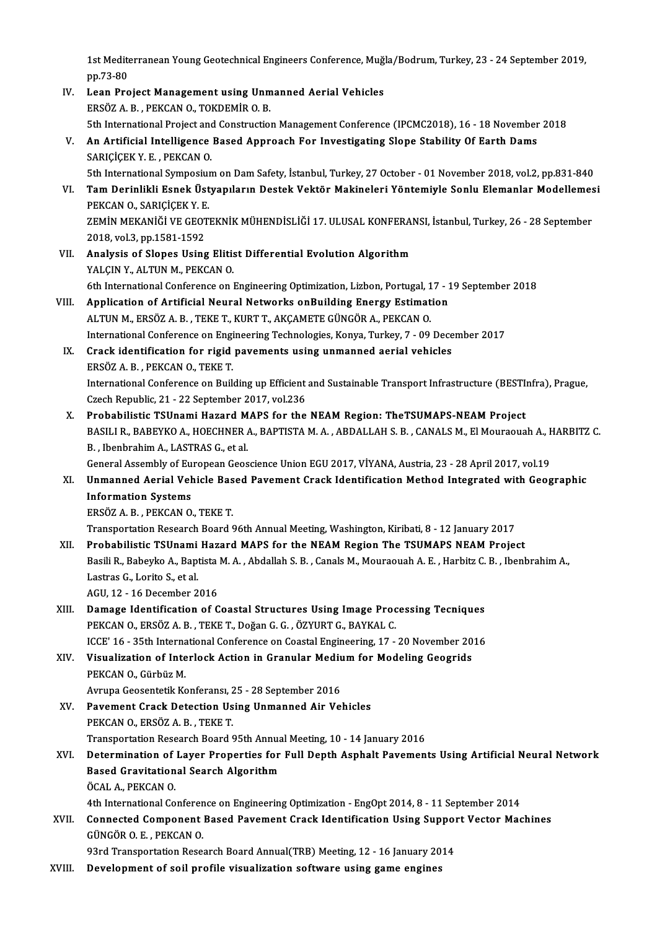1st Mediterranean Young Geotechnical Engineers Conference, Muğla/Bodrum, Turkey, 23 - 24 September 2019,<br>nn 72 80 1st Medite<br>pp.73-80<br>Lean Pro 1st Mediterranean Young Geotechnical Engineers Conference, Muğ<br>pp.73-80<br>IV. Lean Project Management using Unmanned Aerial Vehicles<br>ERSÖZ A. B. PEKCAN O. TOKREMIR O. B.

- pp.73-80<br>Lean Project Management using Unm<br>ERSÖZ A. B. , PEKCAN O., TOKDEMİR O. B.<br>Eth International Preject and Construction Lean Project Management using Unmanned Aerial Vehicles<br>ERSÖZ A. B. , PEKCAN O., TOKDEMİR O. B.<br>5th International Project and Construction Management Conference (IPCMC2018), 16 - 18 November 2018<br>An Artificial Intelligence ERSÖZ A. B. , PEKCAN O., TOKDEMIR O. B.<br>5th International Project and Construction Management Conference (IPCMC2018), 16 - 18 November<br>7. An Artificial Intelligence Based Approach For Investigating Slope Stability Of Earth
- 5th International Project and<br>An Artificial Intelligence<br>SARIÇİÇEK Y. E. , PEKCAN 0.<br>Eth International Sumposiun
- 5th International Symposium on Dam Safety, İstanbul, Turkey, 27 October 01 November 2018, vol.2, pp.831-840 SARIÇİÇEK Y. E. , PEKCAN O.<br>5th International Symposium on Dam Safety, İstanbul, Turkey, 27 October - 01 November 2018, vol.2, pp.831-840<br>7. Tam Derinlikli Esnek Üstyapıların Destek Vektör Makineleri Yöntemiyle Sonlu Elema 5th International Symposiu<mark>l</mark><br>Tam Derinlikli Esnek Üst<br>PEKCAN 0., SARIÇİÇEK Y. E.<br>ZEMİN MEKANİĞİ VE CEOTI Tam Derinlikli Esnek Üstyapıların Destek Vektör Makineleri Yöntemiyle Sonlu Elemanlar Modellemes<br>PEKCAN 0., SARIÇİÇEK Y. E.<br>ZEMİN MEKANİĞİ VE GEOTEKNİK MÜHENDİSLİĞİ 17. ULUSAL KONFERANSI, İstanbul, Turkey, 26 - 28 Septembe PEKCAN 0., SARIÇİÇEK Y. E.<br>ZEMİN MEKANİĞİ VE GEOTEKNİK MÜHENDİSLİĞİ 17. ULUSAL KONFERANSI, İstanbul, Turkey, 26 - 28 September<br>2018, vol.3, pp.1581-1592
- ZEMİN MEKANİĞİ VE GEOTEKNİK MÜHENDİSLİĞİ 17. ULUSAL KONFERA<br>2018, vol.3, pp.1581-1592<br>VII. Analysis of Slopes Using Elitist Differential Evolution Algorithm<br>VALGIN V. ALTIN M. REKÇAN O 2018, vol.3, pp.1581-1592<br>Analysis of Slopes Using Elitis<br>YALÇIN Y., ALTUN M., PEKCAN O.<br>Eth International Conference on I Analysis of Slopes Using Elitist Differential Evolution Algorithm<br>YALÇIN Y., ALTUN M., PEKCAN O.<br>6th International Conference on Engineering Optimization, Lizbon, Portugal, 17 - 19 September 2018<br>Annligation of Artificial
- YALÇIN Y., ALTUN M., PEKCAN O.<br>6th International Conference on Engineering Optimization, Lizbon, Portugal, 17 1<br>VIII. Application of Artificial Neural Networks onBuilding Energy Estimation<br>ALTIN M. EDSÖZ A. B., TEKE T. K 6th International Conference on Engineering Optimization, Lizbon, Portugal, 1<br>Application of Artificial Neural Networks onBuilding Energy Estimat<br>ALTUN M., ERSÖZ A. B. , TEKE T., KURT T., AKÇAMETE GÜNGÖR A., PEKCAN O.<br>Inte Application of Artificial Neural Networks onBuilding Energy Estimation<br>ALTUN M., ERSÖZ A. B., TEKE T., KURT T., AKÇAMETE GÜNGÖR A., PEKCAN O.<br>International Conference on Engineering Technologies, Konya, Turkey, 7 - 09 Dece ALTUN M., ERSÖZ A. B. , TEKE T., KURT T., AKÇAMETE GÜNGÖR A., PEKCAN O.<br>International Conference on Engineering Technologies, Konya, Turkey, 7 - 09 Dece<br>IX. Crack identification for rigid pavements using unmanned aerial ve
- International Conference on Engi<br>Crack identification for rigid<br>ERSÖZ A. B. , PEKCAN O., TEKE T.<br>International Conference on Buil Crack identification for rigid pavements using unmanned aerial vehicles<br>ERSÖZ A. B. , PEKCAN O., TEKE T.<br>International Conference on Building up Efficient and Sustainable Transport Infrastructure (BESTInfra), Prague, ERSÖZ A. B. , PEKCAN O., TEKE T.<br>International Conference on Building up Efficient<br>Czech Republic, 21 - 22 September 2017, vol.236<br>Probabilistis TSUnami Harard MAPS for the
- International Conference on Building up Efficient and Sustainable Transport Infrastructure (BESTI:<br>Czech Republic, 21 22 September 2017, vol.236<br>X. Probabilistic TSUnami Hazard MAPS for the NEAM Region: TheTSUMAPS-NEAM P Czech Republic, 21 - 22 September 2017, vol.236<br>Probabilistic TSUnami Hazard MAPS for the NEAM Region: TheTSUMAPS-NEAM Project<br>BASILI R., BABEYKO A., HOECHNER A., BAPTISTA M. A. , ABDALLAH S. B. , CANALS M., El Mouraouah A Probabilistic TSUnami Hazard M<br>BASILI R., BABEYKO A., HOECHNER /<br>B. , Ibenbrahim A., LASTRAS G., et al.<br>Conoral Assembly of European Coos BASILI R., BABEYKO A., HOECHNER A., BAPTISTA M. A. , ABDALLAH S. B. , CANALS M., El Mouraouah A., I<br>B. , Ibenbrahim A., LASTRAS G., et al.<br>General Assembly of European Geoscience Union EGU 2017, VİYANA, Austria, 23 - 28 Ap B., Ibenbrahim A., LASTRAS G., et al.<br>General Assembly of European Geoscience Union EGU 2017, VİYANA, Austria, 23 - 28 April 2017, vol.19<br>XI. Unmanned Aerial Vehicle Based Pavement Crack Identification Method Integrated wi

General Assembly of European Geoscience Union EGU 2017, VİYANA, Austria, 23 - 28 April 2017, vol.19

ERSÖZA.B. ,PEKCANO.,TEKET.

Transportation Research Board 96th Annual Meeting, Washington, Kiribati, 8 - 12 January 2017

- XII. Probabilistic TSUnami Hazard MAPS for the NEAM Region The TSUMAPS NEAM Project Transportation Research Board 96th Annual Meeting, Washington, Kiribati, 8 - 12 January 2017<br>Probabilistic TSUnami Hazard MAPS for the NEAM Region The TSUMAPS NEAM Project<br>Basili R., Babeyko A., Baptista M. A. , Abdallah S Probabilistic TSUnami<br>Basili R., Babeyko A., Bapi<br>Lastras G., Lorito S., et al.<br>ACU 12, . 16 Desember 2 Basili R., Babeyko A., Baptista<br>Lastras G., Lorito S., et al.<br>AGU, 12 - 16 December 2016<br>Damage Identification of C Lastras G., Lorito S., et al.<br>AGU, 12 - 16 December 2016<br>XIII. Damage Identification of Coastal Structures Using Image Processing Tecniques<br>PEKCAN O. EBSÖZA B. TEKE T. Dožen G. G. ÖZVUPT G. BAVKAL G.
- AGU, 12 16 December 2016<br>Damage Identification of Coastal Structures Using Image Proc<br>PEKCAN O., ERSÖZ A. B. , TEKE T., Doğan G. G. , ÖZYURT G., BAYKAL C.<br>ICCE' 16 35th International Conference on Coastal Engineering 1 Damage Identification of Coastal Structures Using Image Processing Tecniques<br>PEKCAN 0., ERSÖZ A. B. , TEKE T., Doğan G. G. , ÖZYURT G., BAYKAL C.<br>ICCE' 16 - 35th International Conference on Coastal Engineering, 17 - 20 Nov PEKCAN O., ERSÖZ A. B. , TEKE T., Doğan G. G. , ÖZYURT G., BAYKAL C.<br>ICCE' 16 - 35th International Conference on Coastal Engineering, 17 - 20 November 20<br>XIV. Visualization of Interlock Action in Granular Medium for Mo
- ICCE' 16 35th Interna<br>Visualization of Inte<br>PEKCAN O., Gürbüz M.<br>Ayruna Coosentatik Ke Visualization of Interlock Action in Granular Mediu<br>PEKCAN 0., Gürbüz M.<br>Avrupa Geosentetik Konferansı, 25 - 28 September 2016<br>Pavement Crask Detestion Heing Humanned Air Vel

- PEKCAN O., Gürbüz M.<br>Avrupa Geosentetik Konferansı, 25 28 September 2016<br>XV. Pavement Crack Detection Using Unmanned Air Vehicles Avrupa Geosentetik Konferansı, 2<br>Pavement Crack Detection Us<br>PEKCAN O., ERSÖZ A. B. , TEKE T.<br>Transportation Besearsh Board ( Pavement Crack Detection Using Unmanned Air Vehicles<br>PEKCAN 0., ERSÖZ A. B. , TEKE T.<br>Transportation Research Board 95th Annual Meeting, 10 - 14 January 2016<br>Determination of Laver Properties for Full Denth Asphalt Payemen
- PEKCAN O., ERSÖZ A. B. , TEKE T.<br>Transportation Research Board 95th Annual Meeting, 10 14 January 2016<br>XVI. Determination of Layer Properties for Full Depth Asphalt Pavements Using Artificial Neural Network<br>Pased Cravita Transportation Research Board 95th Annua<br>Determination of Layer Properties for<br>Based Gravitational Search Algorithm<br>ÖCALA REVCAN O Determination of<br>Based Gravitation<br>ÖCAL A., PEKCAN O.<br>4th International Co Based Gravitational Search Algorithm<br>ÖCAL A., PEKCAN O.<br>4th International Conference on Engineering Optimization - EngOpt 2014, 8 - 11 September 2014

OCAL A., PEKCAN O.<br>4th International Conference on Engineering Optimization - EngOpt 2014, 8 - 11 September 2014<br>XVII. Connected Component Based Pavement Crack Identification Using Support Vector Machines<br>CÜNCÖR O. E., PEK 4th International Conferer<br>Connected Component<br>GÜNGÖR O. E. , PEKCAN O.<br>22nd Trensportation Bose Connected Component Based Pavement Crack Identification Using Suppor<br>GÜNGÖR O. E. , PEKCAN O.<br>93rd Transportation Research Board Annual(TRB) Meeting, 12 - 16 January 2014<br>Development of soil profile vieweligation software GÜNGÖR O. E. , PEKCAN O.<br>93rd Transportation Research Board Annual(TRB) Meeting, 12 - 16 January 2014<br>XVIII. Development of soil profile visualization software using game engines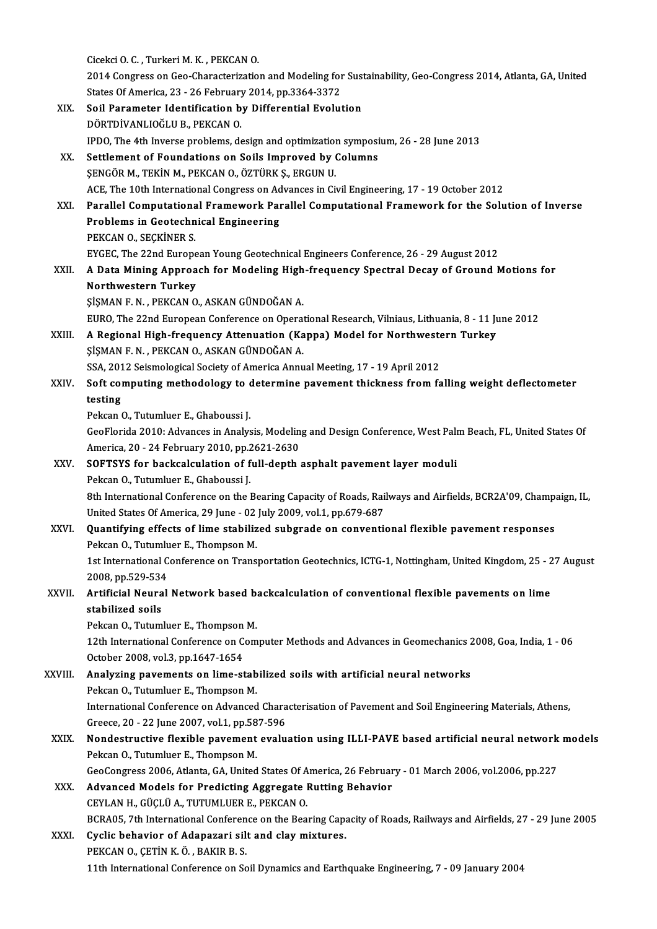|             | Cicekci O. C., Turkeri M. K., PEKCAN O.                                                                                                                            |
|-------------|--------------------------------------------------------------------------------------------------------------------------------------------------------------------|
|             | 2014 Congress on Geo-Characterization and Modeling for Sustainability, Geo-Congress 2014, Atlanta, GA, United                                                      |
|             | States Of America, 23 - 26 February 2014, pp.3364-3372                                                                                                             |
| XIX.        | Soil Parameter Identification by Differential Evolution                                                                                                            |
|             | DÖRTDİVANLIOĞLU B., PEKCAN O.                                                                                                                                      |
|             | IPDO, The 4th Inverse problems, design and optimization symposium, 26 - 28 June 2013                                                                               |
| XX.         | Settlement of Foundations on Soils Improved by Columns                                                                                                             |
|             | ŞENGÖR M., TEKİN M., PEKCAN O., ÖZTÜRK Ş., ERGUN U.                                                                                                                |
|             | ACE, The 10th International Congress on Advances in Civil Engineering, 17 - 19 October 2012                                                                        |
| XXI.        | Parallel Computational Framework Parallel Computational Framework for the Solution of Inverse                                                                      |
|             | Problems in Geotechnical Engineering                                                                                                                               |
|             | PEKCAN O., SEÇKİNER S.                                                                                                                                             |
|             | EYGEC, The 22nd European Young Geotechnical Engineers Conference, 26 - 29 August 2012                                                                              |
| XXII.       | A Data Mining Approach for Modeling High-frequency Spectral Decay of Ground Motions for                                                                            |
|             | Northwestern Turkey                                                                                                                                                |
|             | ŞİŞMAN F. N., PEKCAN O., ASKAN GÜNDOĞAN A.                                                                                                                         |
|             | EURO, The 22nd European Conference on Operational Research, Vilniaus, Lithuania, 8 - 11 June 2012                                                                  |
| XXIII.      | A Regional High-frequency Attenuation (Kappa) Model for Northwestern Turkey                                                                                        |
|             | ŞİŞMAN F. N., PEKCAN O., ASKAN GÜNDOĞAN A.                                                                                                                         |
|             | SSA, 2012 Seismological Society of America Annual Meeting, 17 - 19 April 2012                                                                                      |
| XXIV.       | Soft computing methodology to determine pavement thickness from falling weight deflectometer                                                                       |
|             | testing                                                                                                                                                            |
|             | Pekcan O., Tutumluer E., Ghaboussi J.                                                                                                                              |
|             | GeoFlorida 2010: Advances in Analysis, Modeling and Design Conference, West Palm Beach, FL, United States Of                                                       |
|             | America, 20 - 24 February 2010, pp.2621-2630                                                                                                                       |
| XXV.        | SOFTSYS for backcalculation of full-depth asphalt pavement layer moduli                                                                                            |
|             | Pekcan O., Tutumluer E., Ghaboussi J.                                                                                                                              |
|             | 8th International Conference on the Bearing Capacity of Roads, Railways and Airfields, BCR2A'09, Champaign, IL,                                                    |
| <b>XXVI</b> | United States Of America, 29 June - 02 July 2009, vol.1, pp.679-687<br>Quantifying effects of lime stabilized subgrade on conventional flexible pavement responses |
|             | Pekcan O., Tutumluer E., Thompson M.                                                                                                                               |
|             | 1st International Conference on Transportation Geotechnics, ICTG-1, Nottingham, United Kingdom, 25 - 27 August                                                     |
|             | 2008, pp 529-534                                                                                                                                                   |
| XXVII.      | Artificial Neural Network based backcalculation of conventional flexible pavements on lime                                                                         |
|             | stabilized soils                                                                                                                                                   |
|             | Pekcan O., Tutumluer E., Thompson M.                                                                                                                               |
|             | 12th International Conference on Computer Methods and Advances in Geomechanics 2008, Goa, India, 1 - 06                                                            |
|             | October 2008, vol.3, pp.1647-1654                                                                                                                                  |
| XXVIII.     | Analyzing pavements on lime-stabilized soils with artificial neural networks                                                                                       |
|             | Pekcan O., Tutumluer E., Thompson M.                                                                                                                               |
|             | International Conference on Advanced Characterisation of Pavement and Soil Engineering Materials, Athens,                                                          |
|             | Greece, 20 - 22 June 2007, vol.1, pp 587-596                                                                                                                       |
| XXIX.       | Nondestructive flexible pavement evaluation using ILLI-PAVE based artificial neural network models                                                                 |
|             | Pekcan O., Tutumluer E., Thompson M.                                                                                                                               |
|             | GeoCongress 2006, Atlanta, GA, United States Of America, 26 February - 01 March 2006, vol.2006, pp.227                                                             |
| XXX.        | Advanced Models for Predicting Aggregate Rutting Behavior                                                                                                          |
|             | CEYLAN H., GÜÇLÜ A., TUTUMLUER E., PEKCAN O.                                                                                                                       |
|             | BCRA05, 7th International Conference on the Bearing Capacity of Roads, Railways and Airfields, 27 - 29 June 2005                                                   |
| XXXI.       | Cyclic behavior of Adapazari silt and clay mixtures.                                                                                                               |
|             | PEKCAN O., ÇETİN K. Ö., BAKIR B. S.                                                                                                                                |
|             | 11th International Conference on Soil Dynamics and Earthquake Engineering, 7 - 09 January 2004                                                                     |
|             |                                                                                                                                                                    |